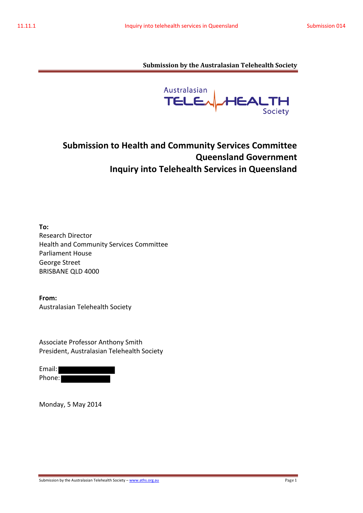Australasian **TELE** HEAL  $TH$ Society

# **Submission to Health and Community Services Committee Queensland Government Inquiry into Telehealth Services in Queensland**

**To:**  Research Director Health and Community Services Committee Parliament House George Street BRISBANE QLD 4000

**From:**  Australasian Telehealth Society

Associate Professor Anthony Smith President, Australasian Telehealth Society

Email: Phone:

Monday, 5 May 2014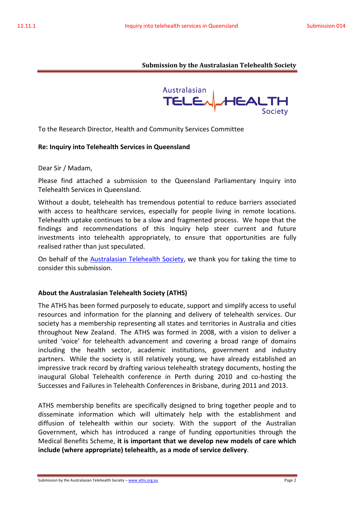

To the Research Director, Health and Community Services Committee

## **Re: Inquiry into Telehealth Services in Queensland**

Dear Sir / Madam,

Please find attached a submission to the Queensland Parliamentary Inquiry into Telehealth Services in Queensland.

Without a doubt, telehealth has tremendous potential to reduce barriers associated with access to healthcare services, especially for people living in remote locations. Telehealth uptake continues to be a slow and fragmented process. We hope that the findings and recommendations of this Inquiry help steer current and future investments into telehealth appropriately, to ensure that opportunities are fully realised rather than just speculated.

On behalf of the Australasian Telehealth Society, we thank you for taking the time to consider this submission.

## **About the Australasian Telehealth Society (ATHS)**

The ATHS has been formed purposely to educate, support and simplify access to useful resources and information for the planning and delivery of telehealth services. Our society has a membership representing all states and territories in Australia and cities throughout New Zealand. The ATHS was formed in 2008, with a vision to deliver a united 'voice' for telehealth advancement and covering a broad range of domains including the health sector, academic institutions, government and industry partners. While the society is still relatively young, we have already established an impressive track record by drafting various telehealth strategy documents, hosting the inaugural Global Telehealth conference in Perth during 2010 and co-hosting the Successes and Failures in Telehealth Conferences in Brisbane, during 2011 and 2013.

ATHS membership benefits are specifically designed to bring together people and to disseminate information which will ultimately help with the establishment and diffusion of telehealth within our society. With the support of the Australian Government, which has introduced a range of funding opportunities through the Medical Benefits Scheme, **it is important that we develop new models of care which include (where appropriate) telehealth, as a mode of service delivery**.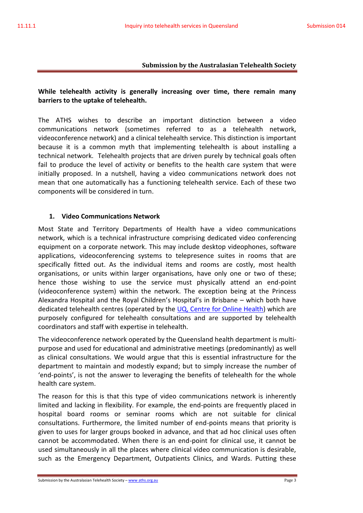## **While telehealth activity is generally increasing over time, there remain many barriers to the uptake of telehealth.**

The ATHS wishes to describe an important distinction between a video communications network (sometimes referred to as a telehealth network, videoconference network) and a clinical telehealth service. This distinction is important because it is a common myth that implementing telehealth is about installing a technical network. Telehealth projects that are driven purely by technical goals often fail to produce the level of activity or benefits to the health care system that were initially proposed. In a nutshell, having a video communications network does not mean that one automatically has a functioning telehealth service. Each of these two components will be considered in turn.

## **1. Video Communications Network**

Most State and Territory Departments of Health have a video communications network, which is a technical infrastructure comprising dedicated video conferencing equipment on a corporate network. This may include desktop videophones, software applications, videoconferencing systems to telepresence suites in rooms that are specifically fitted out. As the individual items and rooms are costly, most health organisations, or units within larger organisations, have only one or two of these; hence those wishing to use the service must physically attend an end-point (videoconference system) within the network. The exception being at the Princess Alexandra Hospital and the Royal Children's Hospital's in Brisbane – which both have dedicated telehealth centres (operated by the UQ, Centre for Online Health) which are purposely configured for telehealth consultations and are supported by telehealth coordinators and staff with expertise in telehealth.

The videoconference network operated by the Queensland health department is multipurpose and used for educational and administrative meetings (predominantly) as well as clinical consultations. We would argue that this is essential infrastructure for the department to maintain and modestly expand; but to simply increase the number of 'end-points', is not the answer to leveraging the benefits of telehealth for the whole health care system.

The reason for this is that this type of video communications network is inherently limited and lacking in flexibility. For example, the end-points are frequently placed in hospital board rooms or seminar rooms which are not suitable for clinical consultations. Furthermore, the limited number of end-points means that priority is given to uses for larger groups booked in advance, and that ad hoc clinical uses often cannot be accommodated. When there is an end-point for clinical use, it cannot be used simultaneously in all the places where clinical video communication is desirable, such as the Emergency Department, Outpatients Clinics, and Wards. Putting these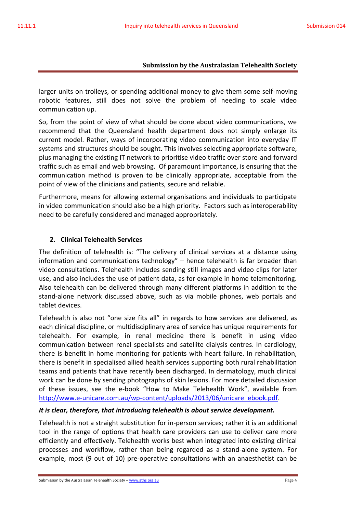larger units on trolleys, or spending additional money to give them some self-moving robotic features, still does not solve the problem of needing to scale video communication up.

So, from the point of view of what should be done about video communications, we recommend that the Queensland health department does not simply enlarge its current model. Rather, ways of incorporating video communication into everyday IT systems and structures should be sought. This involves selecting appropriate software, plus managing the existing IT network to prioritise video traffic over store-and-forward traffic such as email and web browsing. Of paramount importance, is ensuring that the communication method is proven to be clinically appropriate, acceptable from the point of view of the clinicians and patients, secure and reliable.

Furthermore, means for allowing external organisations and individuals to participate in video communication should also be a high priority. Factors such as interoperability need to be carefully considered and managed appropriately.

## **2. Clinical Telehealth Services**

The definition of telehealth is: "The delivery of clinical services at a distance using information and communications technology" – hence telehealth is far broader than video consultations. Telehealth includes sending still images and video clips for later use, and also includes the use of patient data, as for example in home telemonitoring. Also telehealth can be delivered through many different platforms in addition to the stand-alone network discussed above, such as via mobile phones, web portals and tablet devices.

Telehealth is also not "one size fits all" in regards to how services are delivered, as each clinical discipline, or multidisciplinary area of service has unique requirements for telehealth. For example, in renal medicine there is benefit in using video communication between renal specialists and satellite dialysis centres. In cardiology, there is benefit in home monitoring for patients with heart failure. In rehabilitation, there is benefit in specialised allied health services supporting both rural rehabilitation teams and patients that have recently been discharged. In dermatology, much clinical work can be done by sending photographs of skin lesions. For more detailed discussion of these issues, see the e-book "How to Make Telehealth Work", available from http://www.e-unicare.com.au/wp-content/uploads/2013/06/unicare ebook.pdf.

## *It is clear, therefore, that introducing telehealth is about service development.*

Telehealth is not a straight substitution for in-person services; rather it is an additional tool in the range of options that health care providers can use to deliver care more efficiently and effectively. Telehealth works best when integrated into existing clinical processes and workflow, rather than being regarded as a stand-alone system. For example, most (9 out of 10) pre-operative consultations with an anaesthetist can be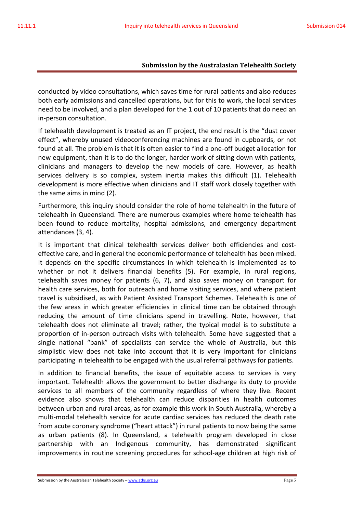conducted by video consultations, which saves time for rural patients and also reduces both early admissions and cancelled operations, but for this to work, the local services need to be involved, and a plan developed for the 1 out of 10 patients that do need an in-person consultation.

If telehealth development is treated as an IT project, the end result is the "dust cover effect", whereby unused videoconferencing machines are found in cupboards, or not found at all. The problem is that it is often easier to find a one-off budget allocation for new equipment, than it is to do the longer, harder work of sitting down with patients, clinicians and managers to develop the new models of care. However, as health services delivery is so complex, system inertia makes this difficult (1). Telehealth development is more effective when clinicians and IT staff work closely together with the same aims in mind (2).

Furthermore, this inquiry should consider the role of home telehealth in the future of telehealth in Queensland. There are numerous examples where home telehealth has been found to reduce mortality, hospital admissions, and emergency department attendances (3, 4).

It is important that clinical telehealth services deliver both efficiencies and costeffective care, and in general the economic performance of telehealth has been mixed. It depends on the specific circumstances in which telehealth is implemented as to whether or not it delivers financial benefits (5). For example, in rural regions, telehealth saves money for patients (6, 7), and also saves money on transport for health care services, both for outreach and home visiting services, and where patient travel is subsidised, as with Patient Assisted Transport Schemes. Telehealth is one of the few areas in which greater efficiencies in clinical time can be obtained through reducing the amount of time clinicians spend in travelling. Note, however, that telehealth does not eliminate all travel; rather, the typical model is to substitute a proportion of in-person outreach visits with telehealth. Some have suggested that a single national "bank" of specialists can service the whole of Australia, but this simplistic view does not take into account that it is very important for clinicians participating in telehealth to be engaged with the usual referral pathways for patients.

In addition to financial benefits, the issue of equitable access to services is very important. Telehealth allows the government to better discharge its duty to provide services to all members of the community regardless of where they live. Recent evidence also shows that telehealth can reduce disparities in health outcomes between urban and rural areas, as for example this work in South Australia, whereby a multi-modal telehealth service for acute cardiac services has reduced the death rate from acute coronary syndrome ("heart attack") in rural patients to now being the same as urban patients (8). In Queensland, a telehealth program developed in close partnership with an Indigenous community, has demonstrated significant improvements in routine screening procedures for school-age children at high risk of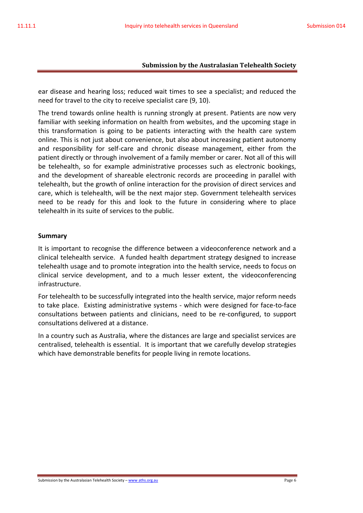ear disease and hearing loss; reduced wait times to see a specialist; and reduced the need for travel to the city to receive specialist care (9, 10).

The trend towards online health is running strongly at present. Patients are now very familiar with seeking information on health from websites, and the upcoming stage in this transformation is going to be patients interacting with the health care system online. This is not just about convenience, but also about increasing patient autonomy and responsibility for self-care and chronic disease management, either from the patient directly or through involvement of a family member or carer. Not all of this will be telehealth, so for example administrative processes such as electronic bookings, and the development of shareable electronic records are proceeding in parallel with telehealth, but the growth of online interaction for the provision of direct services and care, which is telehealth, will be the next major step. Government telehealth services need to be ready for this and look to the future in considering where to place telehealth in its suite of services to the public.

#### **Summary**

It is important to recognise the difference between a videoconference network and a clinical telehealth service. A funded health department strategy designed to increase telehealth usage and to promote integration into the health service, needs to focus on clinical service development, and to a much lesser extent, the videoconferencing infrastructure.

For telehealth to be successfully integrated into the health service, major reform needs to take place. Existing administrative systems - which were designed for face-to-face consultations between patients and clinicians, need to be re-configured, to support consultations delivered at a distance.

In a country such as Australia, where the distances are large and specialist services are centralised, telehealth is essential. It is important that we carefully develop strategies which have demonstrable benefits for people living in remote locations.